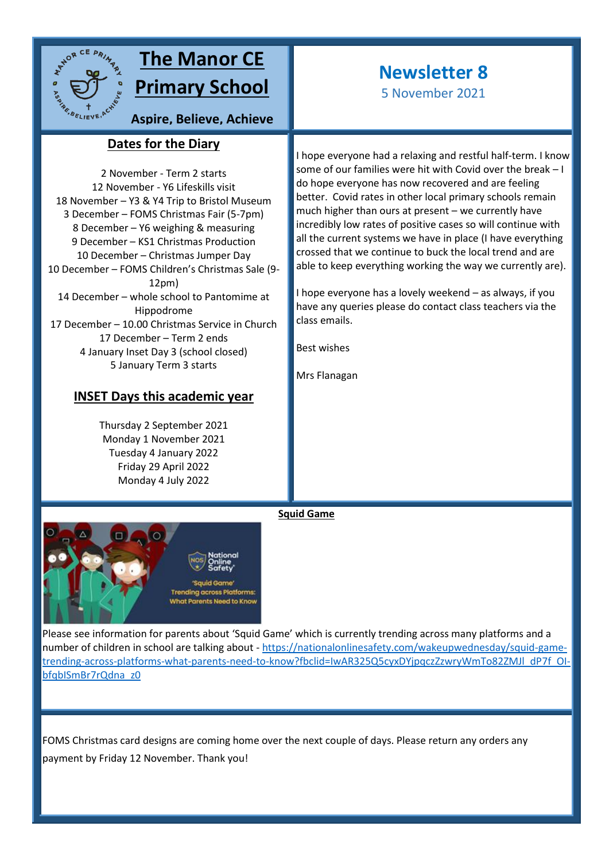

# **The Manor CE Primary School**

**Aspire, Believe, Achieve**

## **Dates for the Diary sky**

2 November - Term 2 starts 12 November - Y6 Lifeskills visit 18 November – Y3 & Y4 Trip to Bristol Museum 3 December – FOMS Christmas Fair (5-7pm) 8 December – Y6 weighing & measuring 9 December – KS1 Christmas Production 10 December – Christmas Jumper Day 10 December – FOMS Children's Christmas Sale (9- 12pm) 14 December – whole school to Pantomime at Hippodrome 17 December – 10.00 Christmas Service in Church 17 December – Term 2 ends 4 January Inset Day 3 (school closed) 5 January Term 3 starts

### **INSET Days this academic year**

Thursday 2 September 2021 Monday 1 November 2021 Tuesday 4 January 2022 Friday 29 April 2022 Monday 4 July 2022



# **Newsletter 8**

5 November 2021

I hope everyone had a relaxing and restful half-term. I know some of our families were hit with Covid over the break – I do hope everyone has now recovered and are feeling better. Covid rates in other local primary schools remain much higher than ours at present – we currently have incredibly low rates of positive cases so will continue with all the current systems we have in place (I have everything crossed that we continue to buck the local trend and are able to keep everything working the way we currently are).

I hope everyone has a lovely weekend – as always, if you have any queries please do contact class teachers via the class emails.

Best wishes

Mrs Flanagan

**Squid Game**

Please see information for parents about 'Squid Game' which is currently trending across many platforms and a number of children in school are talking about - [https://nationalonlinesafety.com/wakeupwednesday/squid-game](https://nationalonlinesafety.com/wakeupwednesday/squid-game-trending-across-platforms-what-parents-need-to-know?fbclid=IwAR325Q5cyxDYjpqczZzwryWmTo82ZMJl_dP7f_OI-bfqbISmBr7rQdna_z0)[trending-across-platforms-what-parents-need-to-know?fbclid=IwAR325Q5cyxDYjpqczZzwryWmTo82ZMJl\\_dP7f\\_OI](https://nationalonlinesafety.com/wakeupwednesday/squid-game-trending-across-platforms-what-parents-need-to-know?fbclid=IwAR325Q5cyxDYjpqczZzwryWmTo82ZMJl_dP7f_OI-bfqbISmBr7rQdna_z0)[bfqbISmBr7rQdna\\_z0](https://nationalonlinesafety.com/wakeupwednesday/squid-game-trending-across-platforms-what-parents-need-to-know?fbclid=IwAR325Q5cyxDYjpqczZzwryWmTo82ZMJl_dP7f_OI-bfqbISmBr7rQdna_z0)

FOMS Christmas card designs are coming home over the next couple of days. Please return any orders any payment by Friday 12 November. Thank you!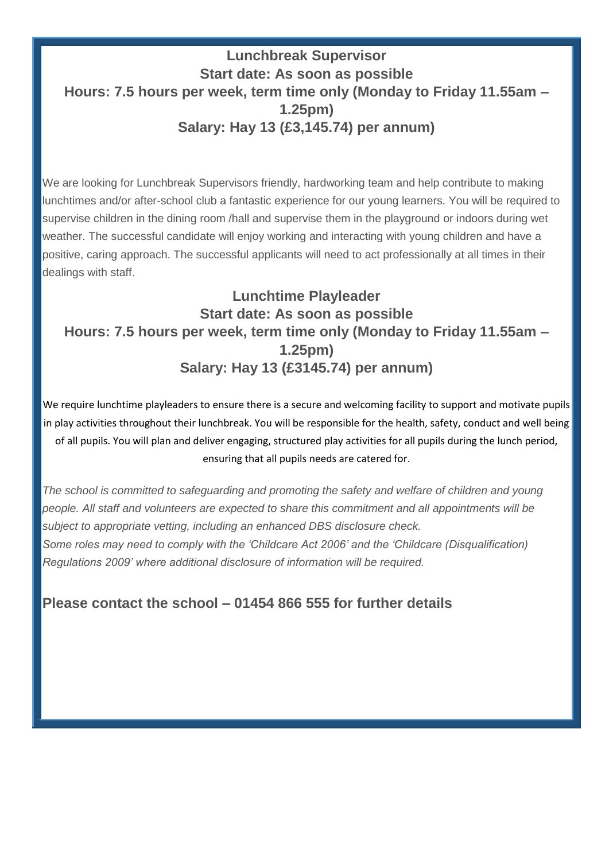# **Lunchbreak Supervisor Start date: As soon as possible Hours: 7.5 hours per week, term time only (Monday to Friday 11.55am – 1.25pm) Salary: Hay 13 (£3,145.74) per annum)**

We are looking for Lunchbreak Supervisors friendly, hardworking team and help contribute to making lunchtimes and/or after-school club a fantastic experience for our young learners. You will be required to supervise children in the dining room /hall and supervise them in the playground or indoors during wet weather. The successful candidate will enjoy working and interacting with young children and have a positive, caring approach. The successful applicants will need to act professionally at all times in their dealings with staff.

# **Lunchtime Playleader Start date: As soon as possible Hours: 7.5 hours per week, term time only (Monday to Friday 11.55am – 1.25pm) Salary: Hay 13 (£3145.74) per annum)**

We require lunchtime playleaders to ensure there is a secure and welcoming facility to support and motivate pupils in play activities throughout their lunchbreak. You will be responsible for the health, safety, conduct and well being of all pupils. You will plan and deliver engaging, structured play activities for all pupils during the lunch period, ensuring that all pupils needs are catered for.

*The school is committed to safeguarding and promoting the safety and welfare of children and young people. All staff and volunteers are expected to share this commitment and all appointments will be subject to appropriate vetting, including an enhanced DBS disclosure check. Some roles may need to comply with the 'Childcare Act 2006' and the 'Childcare (Disqualification) Regulations 2009' where additional disclosure of information will be required.*

## **Please contact the school – 01454 866 555 for further details**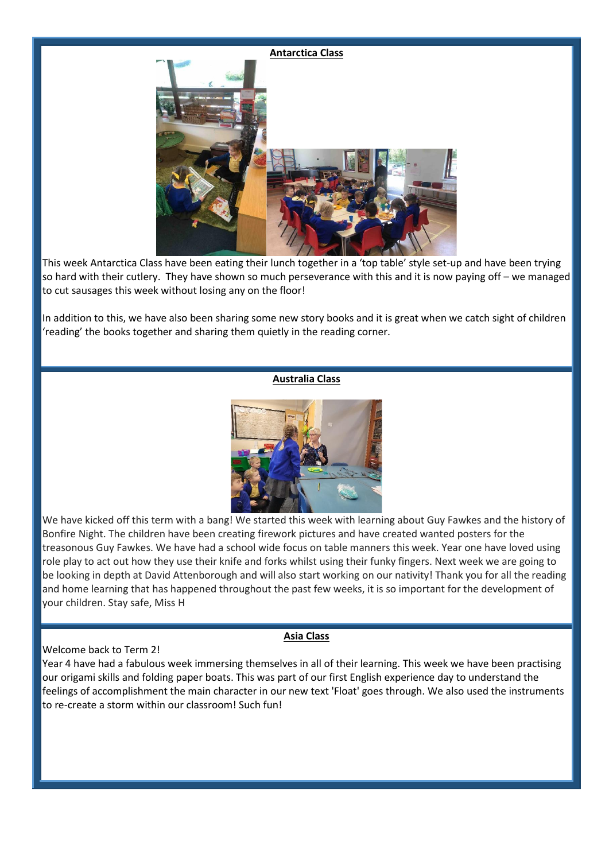# **Antarctica Class**

This week Antarctica Class have been eating their lunch together in a 'top table' style set-up and have been trying so hard with their cutlery. They have shown so much perseverance with this and it is now paying off – we managed to cut sausages this week without losing any on the floor!

In addition to this, we have also been sharing some new story books and it is great when we catch sight of children 'reading' the books together and sharing them quietly in the reading corner.

#### **Australia Class**



We have kicked off this term with a bang! We started this week with learning about Guy Fawkes and the history of Bonfire Night. The children have been creating firework pictures and have created wanted posters for the treasonous Guy Fawkes. We have had a school wide focus on table manners this week. Year one have loved using role play to act out how they use their knife and forks whilst using their funky fingers. Next week we are going to be looking in depth at David Attenborough and will also start working on our nativity! Thank you for all the reading and home learning that has happened throughout the past few weeks, it is so important for the development of your children. Stay safe, Miss H

#### Welcome back to Term 2!

#### **Asia Class**

Year 4 have had a fabulous week immersing themselves in all of their learning. This week we have been practising our origami skills and folding paper boats. This was part of our first English experience day to understand the feelings of accomplishment the main character in our new text 'Float' goes through. We also used the instruments to re-create a storm within our classroom! Such fun!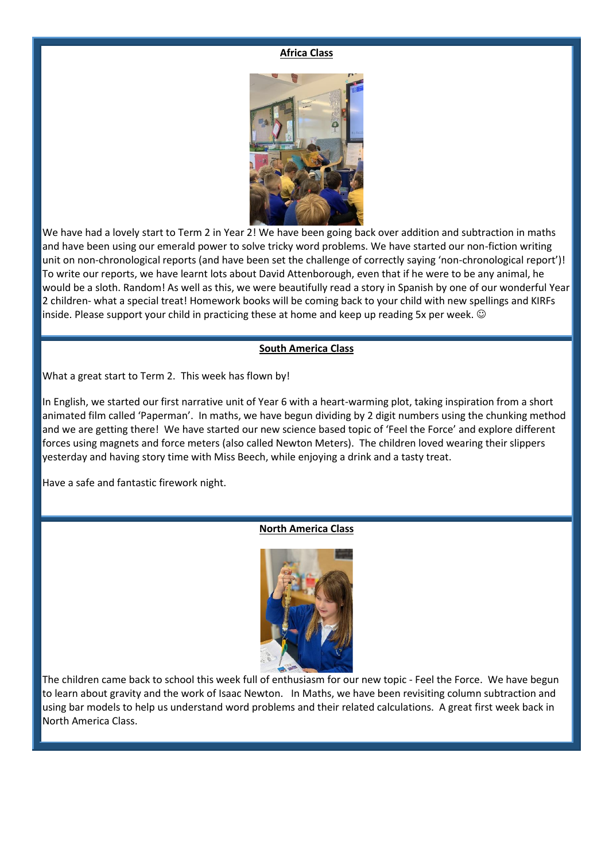#### **Africa Class**



We have had a lovely start to Term 2 in Year 2! We have been going back over addition and subtraction in maths and have been using our emerald power to solve tricky word problems. We have started our non-fiction writing unit on non-chronological reports (and have been set the challenge of correctly saying 'non-chronological report')! To write our reports, we have learnt lots about David Attenborough, even that if he were to be any animal, he would be a sloth. Random! As well as this, we were beautifully read a story in Spanish by one of our wonderful Year 2 children- what a special treat! Homework books will be coming back to your child with new spellings and KIRFs inside. Please support your child in practicing these at home and keep up reading 5x per week.  $\odot$ 

#### **South America Class**

What a great start to Term 2. This week has flown by!

In English, we started our first narrative unit of Year 6 with a heart-warming plot, taking inspiration from a short animated film called 'Paperman'. In maths, we have begun dividing by 2 digit numbers using the chunking method and we are getting there! We have started our new science based topic of 'Feel the Force' and explore different forces using magnets and force meters (also called Newton Meters). The children loved wearing their slippers yesterday and having story time with Miss Beech, while enjoying a drink and a tasty treat.

Have a safe and fantastic firework night.

#### **North America Class**



The children came back to school this week full of enthusiasm for our new topic - Feel the Force. We have begun to learn about gravity and the work of Isaac Newton. In Maths, we have been revisiting column subtraction and using bar models to help us understand word problems and their related calculations. A great first week back in North America Class.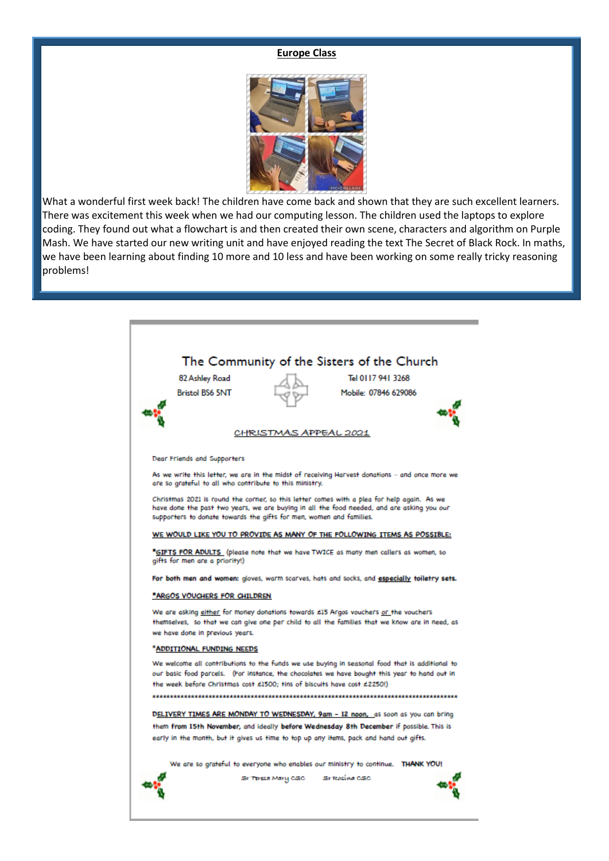#### **Europe Class**



What a wonderful first week back! The children have come back and shown that they are such excellent learners. There was excitement this week when we had our computing lesson. The children used the laptops to explore coding. They found out what a flowchart is and then created their own scene, characters and algorithm on Purple Mash. We have started our new writing unit and have enjoyed reading the text The Secret of Black Rock. In maths, we have been learning about finding 10 more and 10 less and have been working on some really tricky reasoning problems!

| The Community of the Sisters of the Church<br>Tel 0117 941 3268                                                                                                                                                                                         |                                                                                                                                                                           |                    |                      |  |
|---------------------------------------------------------------------------------------------------------------------------------------------------------------------------------------------------------------------------------------------------------|---------------------------------------------------------------------------------------------------------------------------------------------------------------------------|--------------------|----------------------|--|
|                                                                                                                                                                                                                                                         | 82 Ashley Road                                                                                                                                                            |                    |                      |  |
|                                                                                                                                                                                                                                                         | <b>Bristol BS6 5NT</b>                                                                                                                                                    |                    | Mobile: 07846 629086 |  |
|                                                                                                                                                                                                                                                         |                                                                                                                                                                           |                    |                      |  |
|                                                                                                                                                                                                                                                         | CHRISTMAS APPEAL 2021                                                                                                                                                     |                    |                      |  |
|                                                                                                                                                                                                                                                         | Dear Friends and Supporters                                                                                                                                               |                    |                      |  |
| As we write this letter, we are in the midst of receiving Harvest donations – and once more we<br>are so grateful to all who contribute to this ministry.<br>Christmas 2021 is round the corner, so this letter comes with a plea for help again. As we |                                                                                                                                                                           |                    |                      |  |
| have done the past two years, we are buying in all the food needed, and are asking you our<br>supporters to donate towards the gifts for men, women and families.                                                                                       |                                                                                                                                                                           |                    |                      |  |
| WE WOULD LIKE YOU TO PROVIDE AS MANY OF THE FOLLOWING ITEMS AS POSSIBLE:                                                                                                                                                                                |                                                                                                                                                                           |                    |                      |  |
| *GIFTS FOR ADULTS (please note that we have TWICE as many men callers as women, so<br>gifts for men are a priority!)                                                                                                                                    |                                                                                                                                                                           |                    |                      |  |
| For both men and women: gloves, warm scarves, hats and socks, and especially toiletry sets.                                                                                                                                                             |                                                                                                                                                                           |                    |                      |  |
| *ARGOS VOUGHERS FOR CHILDREN                                                                                                                                                                                                                            |                                                                                                                                                                           |                    |                      |  |
|                                                                                                                                                                                                                                                         | We are asking either for money donations towards £15 Argos vouchers or the vouchers                                                                                       |                    |                      |  |
|                                                                                                                                                                                                                                                         | themselves, so that we can give one per child to all the families that we know are in need, as<br>we have done in previous years.                                         |                    |                      |  |
| *ADDITIONAL FUNDING NEEDS                                                                                                                                                                                                                               |                                                                                                                                                                           |                    |                      |  |
|                                                                                                                                                                                                                                                         | We welcome all contributions to the funds we use buying in seasonal food that is additional to                                                                            |                    |                      |  |
|                                                                                                                                                                                                                                                         | our basic food parcels. (For instance, the chocolates we have bought this year to hand out in<br>the week before Christmas cost £1500; tins of biscuits have cost £2250!) |                    |                      |  |
|                                                                                                                                                                                                                                                         |                                                                                                                                                                           |                    |                      |  |
| DELIVERY TIMES ARE MONDAY TO WEDNESDAY, 9am - 12 noon, as soon as you can bring                                                                                                                                                                         |                                                                                                                                                                           |                    |                      |  |
| them from 15th November, and ideally before Wednesday 8th December if possible. This is<br>early in the month, but it gives us time to top up any items, pack and hand out gifts.                                                                       |                                                                                                                                                                           |                    |                      |  |
|                                                                                                                                                                                                                                                         |                                                                                                                                                                           |                    |                      |  |
| We are so grateful to everyone who enables our ministry to continue. THANK YOU!                                                                                                                                                                         |                                                                                                                                                                           |                    |                      |  |
|                                                                                                                                                                                                                                                         |                                                                                                                                                                           | Sr Teresa Mary CSC | Sr fessiva CSC       |  |